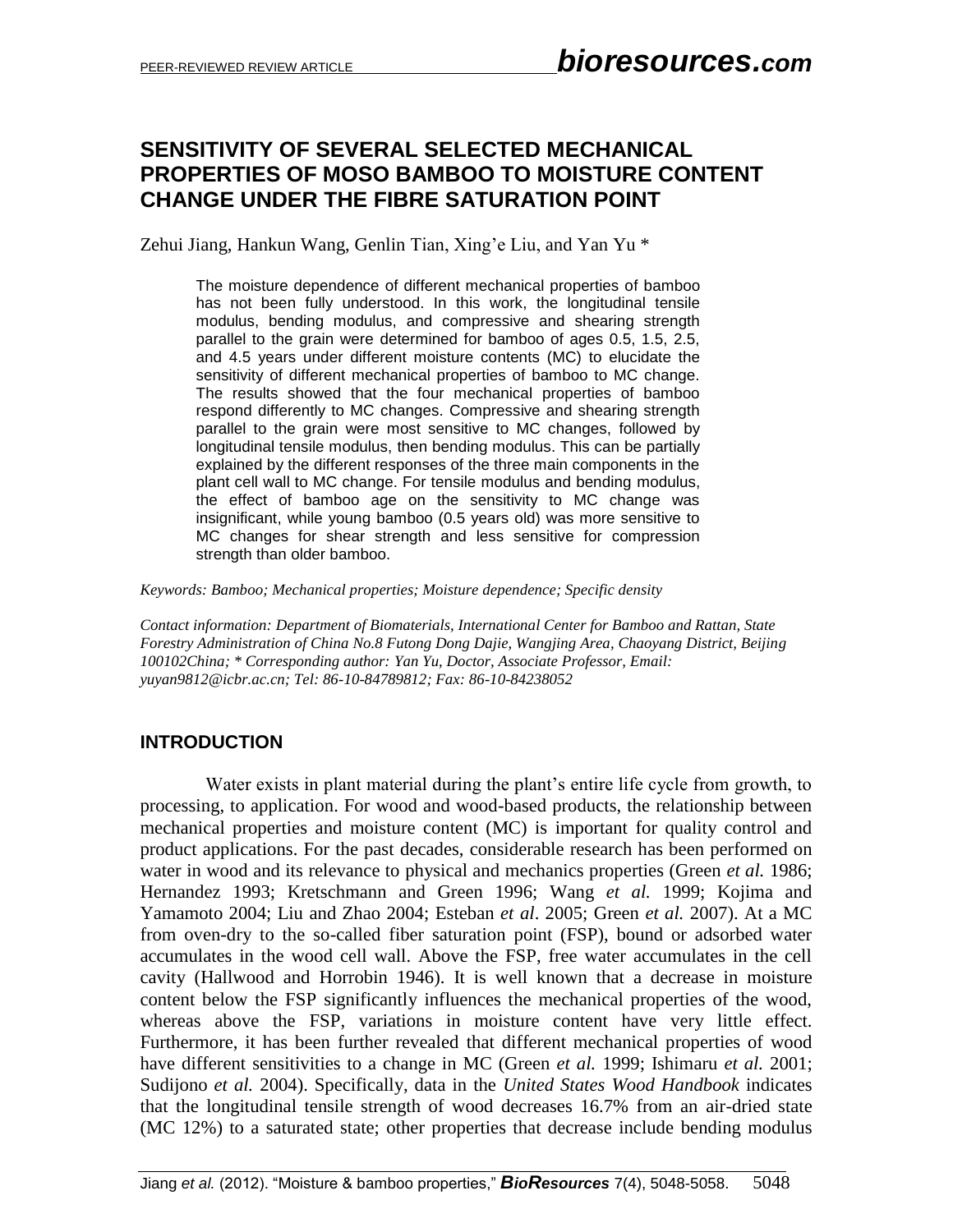## **SENSITIVITY OF SEVERAL SELECTED MECHANICAL PROPERTIES OF MOSO BAMBOO TO MOISTURE CONTENT CHANGE UNDER THE FIBRE SATURATION POINT**

Zehui Jiang, Hankun Wang, Genlin Tian, Xing'e Liu, and Yan Yu \*

The moisture dependence of different mechanical properties of bamboo has not been fully understood. In this work, the longitudinal tensile modulus, bending modulus, and compressive and shearing strength parallel to the grain were determined for bamboo of ages 0.5, 1.5, 2.5, and 4.5 years under different moisture contents (MC) to elucidate the sensitivity of different mechanical properties of bamboo to MC change. The results showed that the four mechanical properties of bamboo respond differently to MC changes. Compressive and shearing strength parallel to the grain were most sensitive to MC changes, followed by longitudinal tensile modulus, then bending modulus. This can be partially explained by the different responses of the three main components in the plant cell wall to MC change. For tensile modulus and bending modulus, the effect of bamboo age on the sensitivity to MC change was insignificant, while young bamboo (0.5 years old) was more sensitive to MC changes for shear strength and less sensitive for compression strength than older bamboo.

*Keywords: Bamboo; Mechanical properties; Moisture dependence; Specific density*

*Contact information: Department of Biomaterials, International Center for Bamboo and Rattan, State Forestry Administration of China No.8 Futong Dong Dajie, Wangjing Area, Chaoyang District, Beijing 100102China; \* Corresponding author: Yan Yu, Doctor, Associate Professor, Email: yuyan9812@icbr.ac.cn; Tel: 86-10-84789812; Fax: 86-10-84238052*

## **INTRODUCTION**

Water exists in plant material during the plant's entire life cycle from growth, to processing, to application. For wood and wood-based products, the relationship between mechanical properties and moisture content (MC) is important for quality control and product applications. For the past decades, considerable research has been performed on water in wood and its relevance to physical and mechanics properties (Green *et al.* 1986; Hernandez 1993; Kretschmann and Green 1996; Wang *et al.* 1999; Kojima and Yamamoto 2004; Liu and Zhao 2004; Esteban *et al*. 2005; Green *et al.* 2007). At a MC from oven-dry to the so-called fiber saturation point (FSP), bound or adsorbed water accumulates in the wood cell wall. Above the FSP, free water accumulates in the cell cavity (Hallwood and Horrobin 1946). It is well known that a decrease in moisture content below the FSP significantly influences the mechanical properties of the wood, whereas above the FSP, variations in moisture content have very little effect. Furthermore, it has been further revealed that different mechanical properties of wood have different sensitivities to a change in MC (Green *et al.* 1999; Ishimaru *et al.* 2001; Sudijono *et al.* 2004). Specifically, data in the *United States Wood Handbook* indicates that the longitudinal tensile strength of wood decreases 16.7% from an air-dried state (MC 12%) to a saturated state; other properties that decrease include bending modulus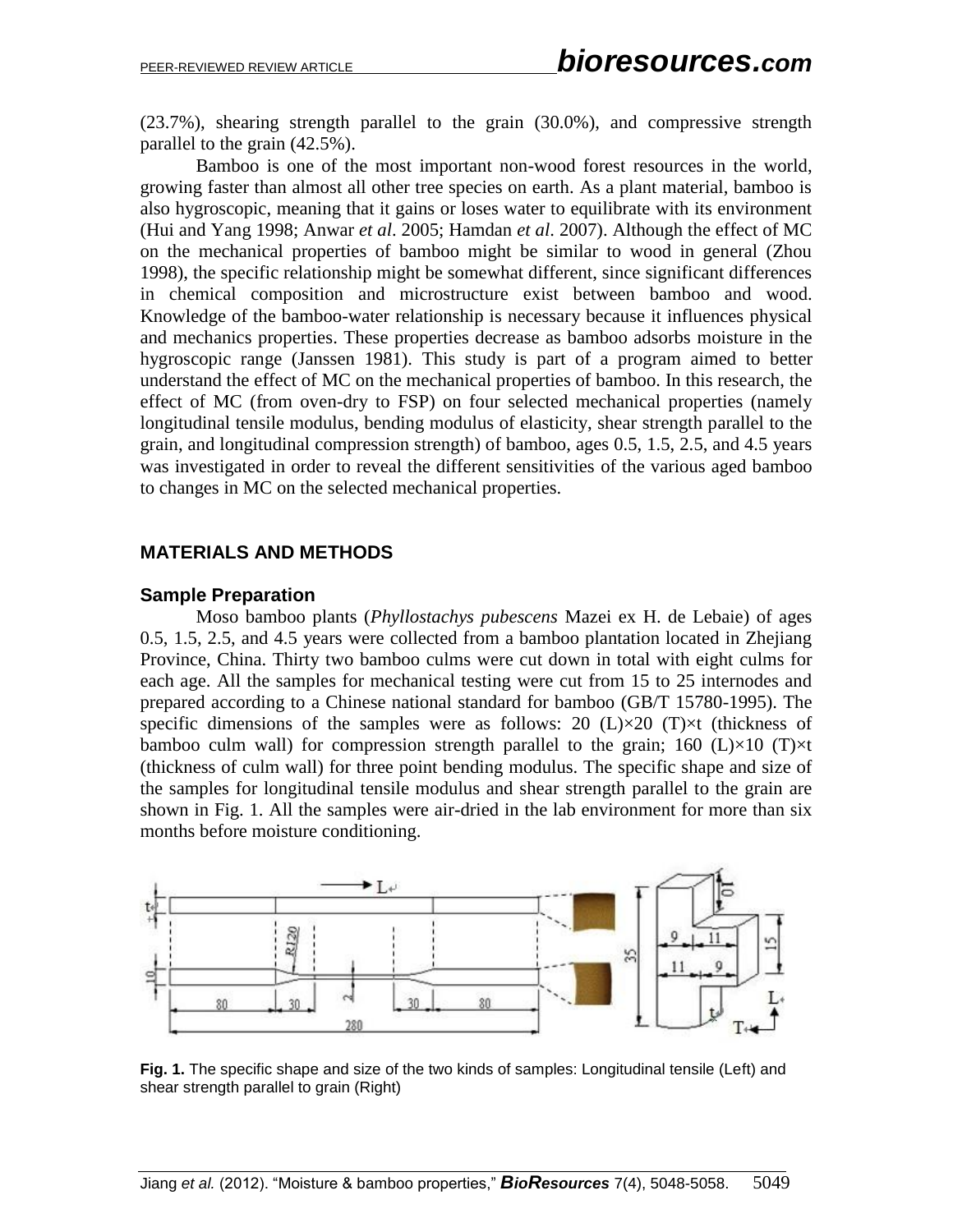(23.7%), shearing strength parallel to the grain (30.0%), and compressive strength parallel to the grain (42.5%).

Bamboo is one of the most important non-wood forest resources in the world, growing faster than almost all other tree species on earth. As a plant material, bamboo is also hygroscopic, meaning that it gains or loses water to equilibrate with its environment (Hui and Yang 1998; Anwar *et al*. 2005; Hamdan *et al*. 2007). Although the effect of MC on the mechanical properties of bamboo might be similar to wood in general (Zhou 1998), the specific relationship might be somewhat different, since significant differences in chemical composition and microstructure exist between bamboo and wood. Knowledge of the bamboo-water relationship is necessary because it influences physical and mechanics properties. These properties decrease as bamboo adsorbs moisture in the hygroscopic range (Janssen 1981). This study is part of a program aimed to better understand the effect of MC on the mechanical properties of bamboo. In this research, the effect of MC (from oven-dry to FSP) on four selected mechanical properties (namely longitudinal tensile modulus, bending modulus of elasticity, shear strength parallel to the grain, and longitudinal compression strength) of bamboo, ages 0.5, 1.5, 2.5, and 4.5 years was investigated in order to reveal the different sensitivities of the various aged bamboo to changes in MC on the selected mechanical properties.

#### **MATERIALS AND METHODS**

#### **Sample Preparation**

Moso bamboo plants (*Phyllostachys pubescens* Mazei ex H. de Lebaie) of ages 0.5, 1.5, 2.5, and 4.5 years were collected from a bamboo plantation located in Zhejiang Province, China. Thirty two bamboo culms were cut down in total with eight culms for each age. All the samples for mechanical testing were cut from 15 to 25 internodes and prepared according to a Chinese national standard for bamboo (GB/T 15780-1995). The specific dimensions of the samples were as follows: 20  $(L)\times 20$   $(T)\times t$  (thickness of bamboo culm wall) for compression strength parallel to the grain; 160 (L) $\times$ 10 (T) $\times$ t (thickness of culm wall) for three point bending modulus. The specific shape and size of the samples for longitudinal tensile modulus and shear strength parallel to the grain are shown in Fig. 1. All the samples were air-dried in the lab environment for more than six months before moisture conditioning.



**Fig. 1.** The specific shape and size of the two kinds of samples: Longitudinal tensile (Left) and shear strength parallel to grain (Right)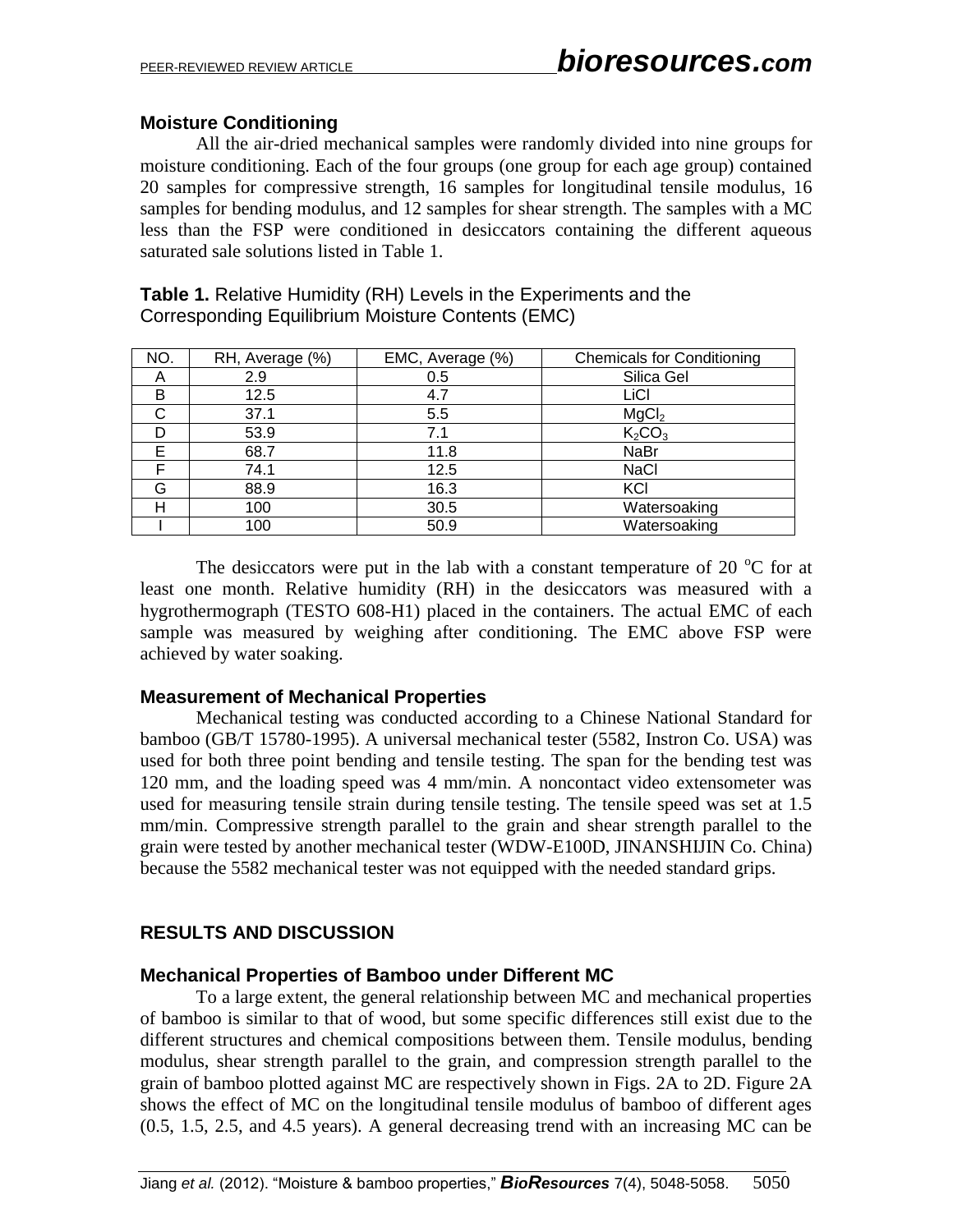## **Moisture Conditioning**

All the air-dried mechanical samples were randomly divided into nine groups for moisture conditioning. Each of the four groups (one group for each age group) contained 20 samples for compressive strength, 16 samples for longitudinal tensile modulus, 16 samples for bending modulus, and 12 samples for shear strength. The samples with a MC less than the FSP were conditioned in desiccators containing the different aqueous saturated sale solutions listed in Table 1.

**Table 1.** Relative Humidity (RH) Levels in the Experiments and the Corresponding Equilibrium Moisture Contents (EMC)

| NO. | RH, Average (%) | EMC, Average (%) | <b>Chemicals for Conditioning</b> |
|-----|-----------------|------------------|-----------------------------------|
| A   | 2.9             | 0.5              | Silica Gel                        |
| в   | 12.5            | 4.7              | LiCl                              |
| C   | 37.1            | 5.5              | MgCl <sub>2</sub>                 |
|     | 53.9            | 7.1              | K <sub>2</sub> CO <sub>3</sub>    |
| F   | 68.7            | 11.8             | NaBr                              |
| F   | 74.1            | 12.5             | <b>NaCl</b>                       |
| G   | 88.9            | 16.3             | KCI                               |
| н   | 100             | 30.5             | Watersoaking                      |
|     | 100             | 50.9             | Watersoaking                      |

The desiccators were put in the lab with a constant temperature of 20  $\degree$ C for at least one month. Relative humidity (RH) in the desiccators was measured with a hygrothermograph (TESTO 608-H1) placed in the containers. The actual EMC of each sample was measured by weighing after conditioning. The EMC above FSP were achieved by water soaking.

#### **Measurement of Mechanical Properties**

Mechanical testing was conducted according to a Chinese National Standard for bamboo (GB/T 15780-1995). A universal mechanical tester (5582, Instron Co. USA) was used for both three point bending and tensile testing. The span for the bending test was 120 mm, and the loading speed was 4 mm/min. A noncontact video extensometer was used for measuring tensile strain during tensile testing. The tensile speed was set at 1.5 mm/min. Compressive strength parallel to the grain and shear strength parallel to the grain were tested by another mechanical tester (WDW-E100D, JINANSHIJIN Co. China) because the 5582 mechanical tester was not equipped with the needed standard grips.

## **RESULTS AND DISCUSSION**

## **Mechanical Properties of Bamboo under Different MC**

To a large extent, the general relationship between MC and mechanical properties of bamboo is similar to that of wood, but some specific differences still exist due to the different structures and chemical compositions between them. Tensile modulus, bending modulus, shear strength parallel to the grain, and compression strength parallel to the grain of bamboo plotted against MC are respectively shown in Figs. 2A to 2D. Figure 2A shows the effect of MC on the longitudinal tensile modulus of bamboo of different ages (0.5, 1.5, 2.5, and 4.5 years). A general decreasing trend with an increasing MC can be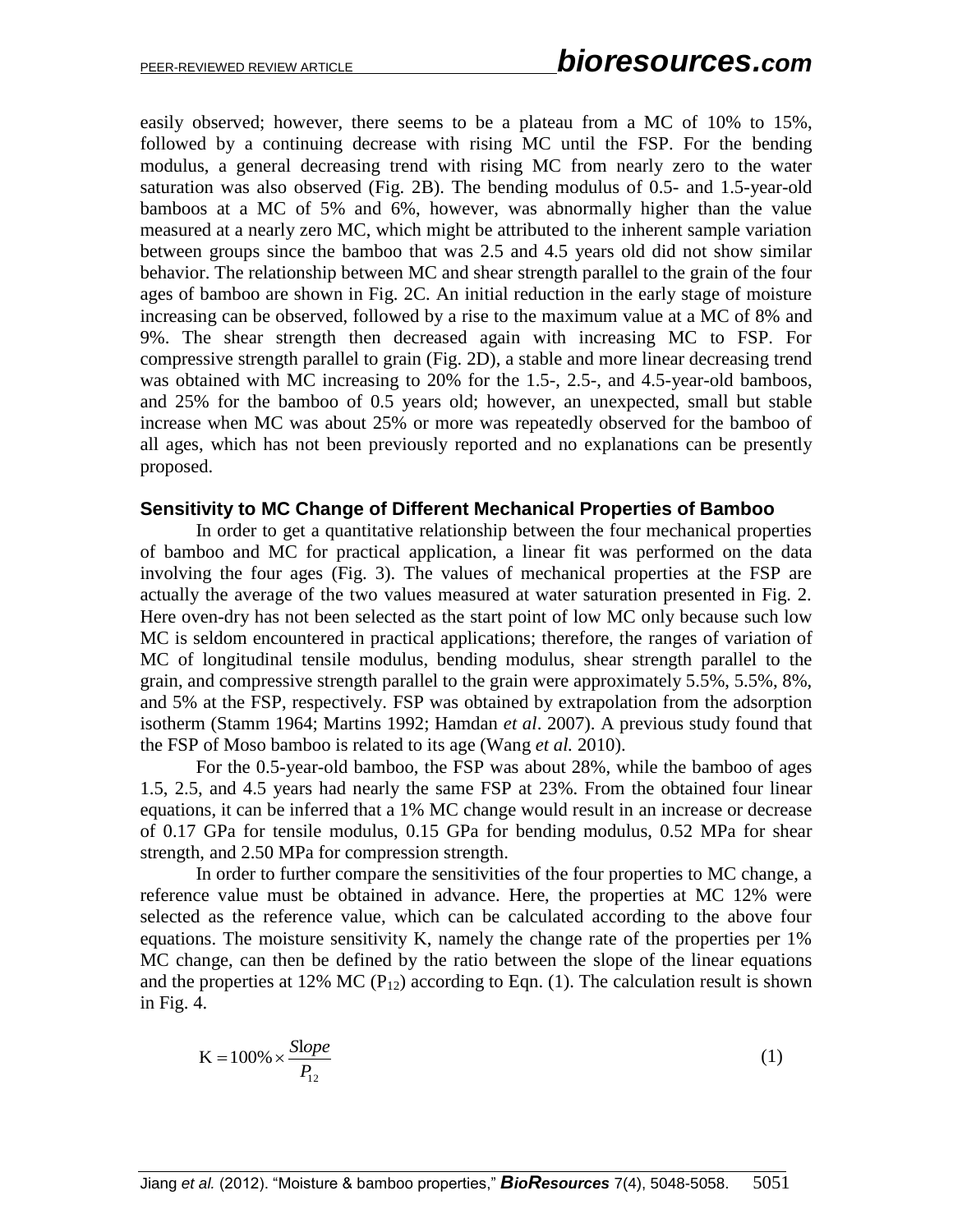easily observed; however, there seems to be a plateau from a MC of 10% to 15%, followed by a continuing decrease with rising MC until the FSP. For the bending modulus, a general decreasing trend with rising MC from nearly zero to the water saturation was also observed (Fig. 2B). The bending modulus of 0.5- and 1.5-year-old bamboos at a MC of 5% and 6%, however, was abnormally higher than the value measured at a nearly zero MC, which might be attributed to the inherent sample variation between groups since the bamboo that was 2.5 and 4.5 years old did not show similar behavior. The relationship between MC and shear strength parallel to the grain of the four ages of bamboo are shown in Fig. 2C. An initial reduction in the early stage of moisture increasing can be observed, followed by a rise to the maximum value at a MC of 8% and 9%. The shear strength then decreased again with increasing MC to FSP. For compressive strength parallel to grain (Fig. 2D), a stable and more linear decreasing trend was obtained with MC increasing to 20% for the 1.5-, 2.5-, and 4.5-year-old bamboos, and 25% for the bamboo of 0.5 years old; however, an unexpected, small but stable increase when MC was about 25% or more was repeatedly observed for the bamboo of all ages, which has not been previously reported and no explanations can be presently proposed.

#### **Sensitivity to MC Change of Different Mechanical Properties of Bamboo**

In order to get a quantitative relationship between the four mechanical properties of bamboo and MC for practical application, a linear fit was performed on the data involving the four ages (Fig. 3). The values of mechanical properties at the FSP are actually the average of the two values measured at water saturation presented in Fig. 2. Here oven-dry has not been selected as the start point of low MC only because such low MC is seldom encountered in practical applications; therefore, the ranges of variation of MC of longitudinal tensile modulus, bending modulus, shear strength parallel to the grain, and compressive strength parallel to the grain were approximately 5.5%, 5.5%, 8%, and 5% at the FSP, respectively. FSP was obtained by extrapolation from the adsorption isotherm (Stamm 1964; Martins 1992; Hamdan *et al*. 2007). A previous study found that the FSP of Moso bamboo is related to its age (Wang *et al.* 2010).

For the 0.5-year-old bamboo, the FSP was about 28%, while the bamboo of ages 1.5, 2.5, and 4.5 years had nearly the same FSP at 23%. From the obtained four linear equations, it can be inferred that a 1% MC change would result in an increase or decrease of 0.17 GPa for tensile modulus, 0.15 GPa for bending modulus, 0.52 MPa for shear strength, and 2.50 MPa for compression strength.

In order to further compare the sensitivities of the four properties to MC change, a reference value must be obtained in advance. Here, the properties at MC 12% were selected as the reference value, which can be calculated according to the above four equations. The moisture sensitivity K, namely the change rate of the properties per 1% MC change, can then be defined by the ratio between the slope of the linear equations and the properties at 12% MC ( $P_{12}$ ) according to Eqn. (1). The calculation result is shown in Fig. 4.

$$
K = 100\% \times \frac{Slope}{P_{12}}\tag{1}
$$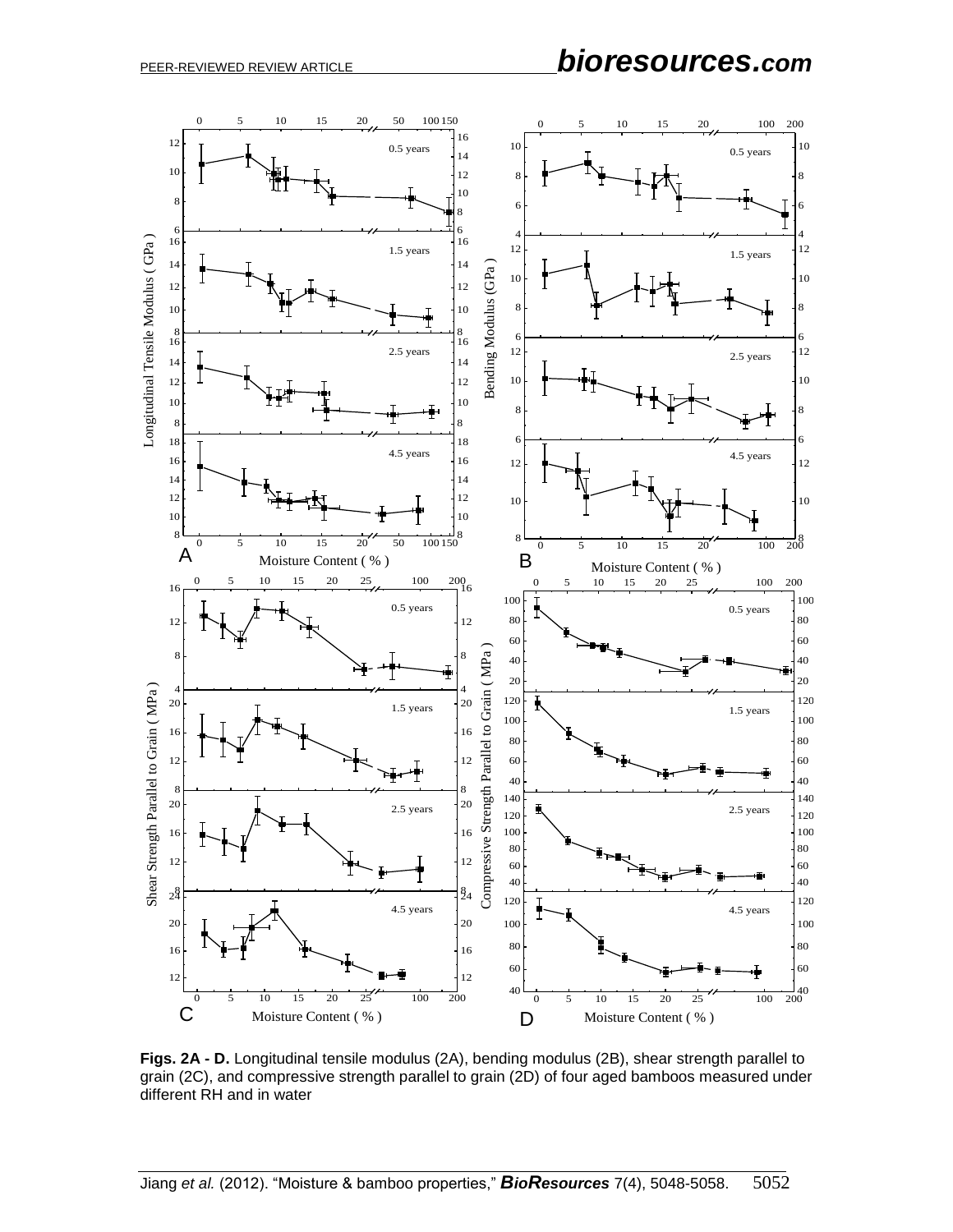

**Figs. 2A - D.** Longitudinal tensile modulus (2A), bending modulus (2B), shear strength parallel to grain (2C), and compressive strength parallel to grain (2D) of four aged bamboos measured under different RH and in water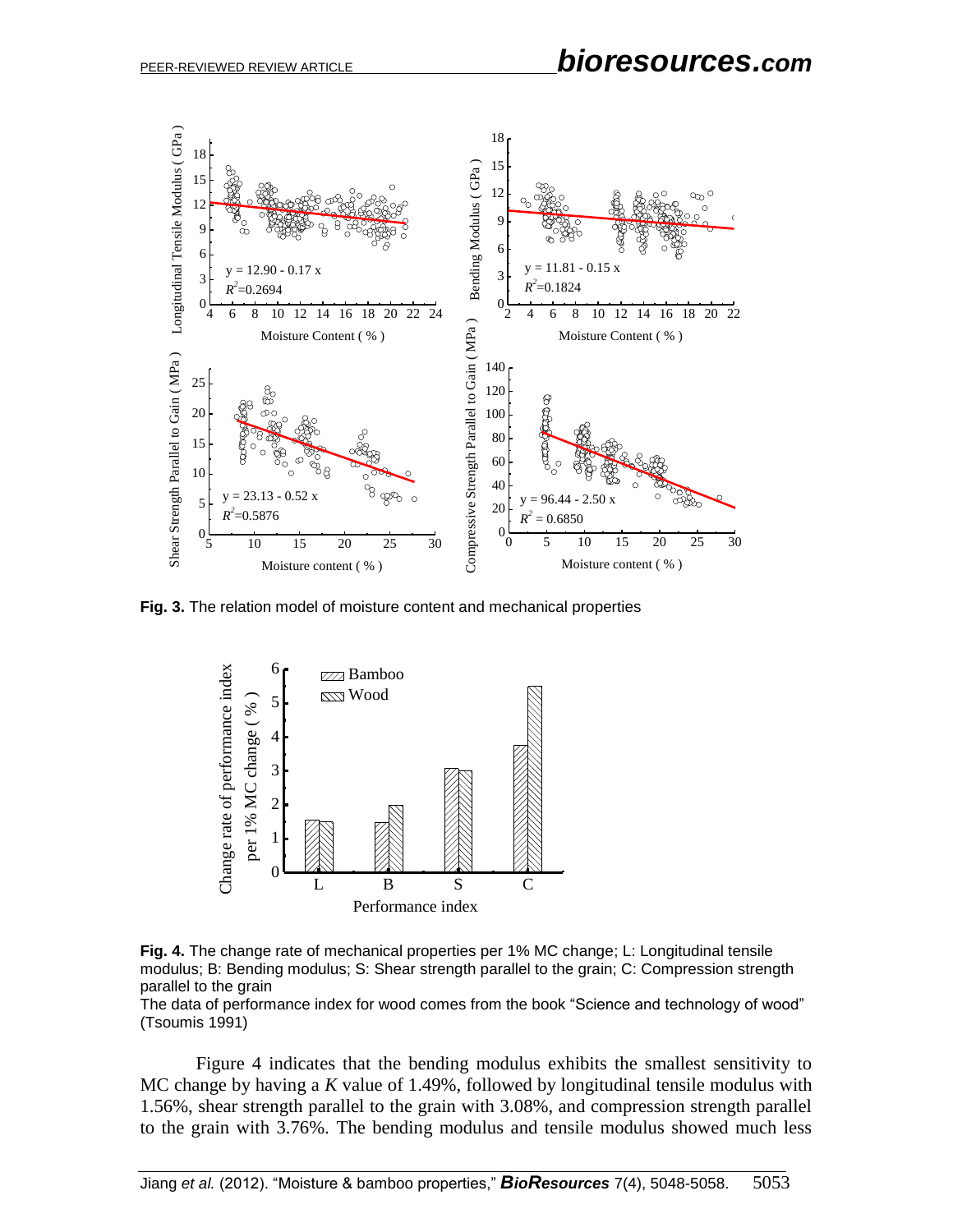

**Fig. 3.** The relation model of moisture content and mechanical properties



**Fig. 4.** The change rate of mechanical properties per 1% MC change; L: Longitudinal tensile modulus; B: Bending modulus; S: Shear strength parallel to the grain; C: Compression strength parallel to the grain

The data of performance index for wood comes from the book "Science and technology of wood" (Tsoumis 1991)

Figure 4 indicates that the bending modulus exhibits the smallest sensitivity to MC change by having a *K* value of 1.49%, followed by longitudinal tensile modulus with 1.56%, shear strength parallel to the grain with 3.08%, and compression strength parallel to the grain with 3.76%. The bending modulus and tensile modulus showed much less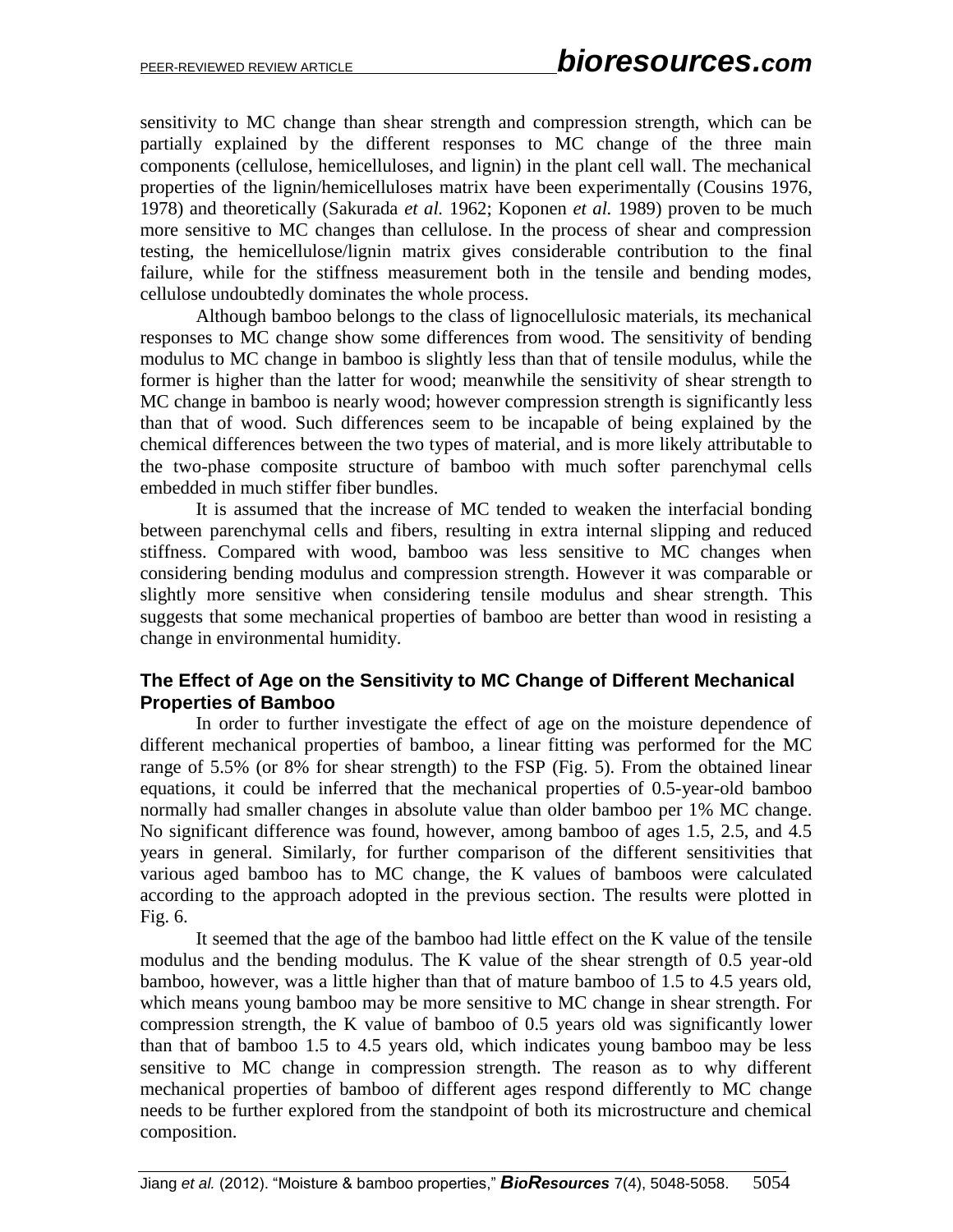sensitivity to MC change than shear strength and compression strength, which can be partially explained by the different responses to MC change of the three main components (cellulose, hemicelluloses, and lignin) in the plant cell wall. The mechanical properties of the lignin/hemicelluloses matrix have been experimentally (Cousins 1976, 1978) and theoretically (Sakurada *et al.* 1962; Koponen *et al.* 1989) proven to be much more sensitive to MC changes than cellulose. In the process of shear and compression testing, the hemicellulose/lignin matrix gives considerable contribution to the final failure, while for the stiffness measurement both in the tensile and bending modes, cellulose undoubtedly dominates the whole process.

Although bamboo belongs to the class of lignocellulosic materials, its mechanical responses to MC change show some differences from wood. The sensitivity of bending modulus to MC change in bamboo is slightly less than that of tensile modulus, while the former is higher than the latter for wood; meanwhile the sensitivity of shear strength to MC change in bamboo is nearly wood; however compression strength is significantly less than that of wood. Such differences seem to be incapable of being explained by the chemical differences between the two types of material, and is more likely attributable to the two-phase composite structure of bamboo with much softer parenchymal cells embedded in much stiffer fiber bundles.

It is assumed that the increase of MC tended to weaken the interfacial bonding between parenchymal cells and fibers, resulting in extra internal slipping and reduced stiffness. Compared with wood, bamboo was less sensitive to MC changes when considering bending modulus and compression strength. However it was comparable or slightly more sensitive when considering tensile modulus and shear strength. This suggests that some mechanical properties of bamboo are better than wood in resisting a change in environmental humidity.

## **The Effect of Age on the Sensitivity to MC Change of Different Mechanical Properties of Bamboo**

In order to further investigate the effect of age on the moisture dependence of different mechanical properties of bamboo, a linear fitting was performed for the MC range of 5.5% (or 8% for shear strength) to the FSP (Fig. 5). From the obtained linear equations, it could be inferred that the mechanical properties of 0.5-year-old bamboo normally had smaller changes in absolute value than older bamboo per 1% MC change. No significant difference was found, however, among bamboo of ages 1.5, 2.5, and 4.5 years in general. Similarly, for further comparison of the different sensitivities that various aged bamboo has to MC change, the K values of bamboos were calculated according to the approach adopted in the previous section. The results were plotted in Fig. 6.

It seemed that the age of the bamboo had little effect on the K value of the tensile modulus and the bending modulus. The K value of the shear strength of 0.5 year-old bamboo, however, was a little higher than that of mature bamboo of 1.5 to 4.5 years old, which means young bamboo may be more sensitive to MC change in shear strength. For compression strength, the K value of bamboo of 0.5 years old was significantly lower than that of bamboo 1.5 to 4.5 years old, which indicates young bamboo may be less sensitive to MC change in compression strength. The reason as to why different mechanical properties of bamboo of different ages respond differently to MC change needs to be further explored from the standpoint of both its microstructure and chemical composition.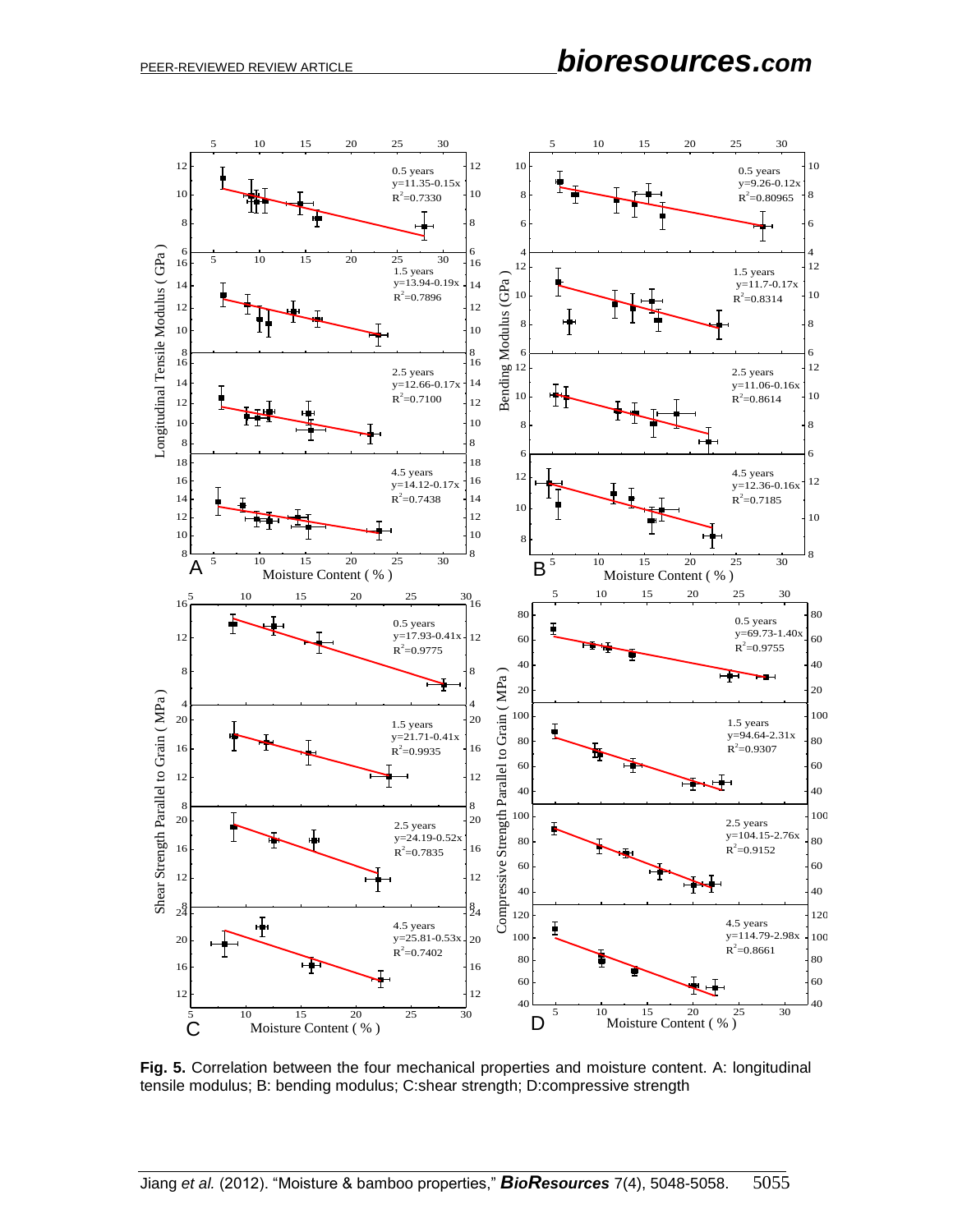# PEER-REVIEWED REVIEW ARTICLE *bioresources.com*



**Fig. 5.** Correlation between the four mechanical properties and moisture content. A: longitudinal tensile modulus; B: bending modulus; C:shear strength; D:compressive strength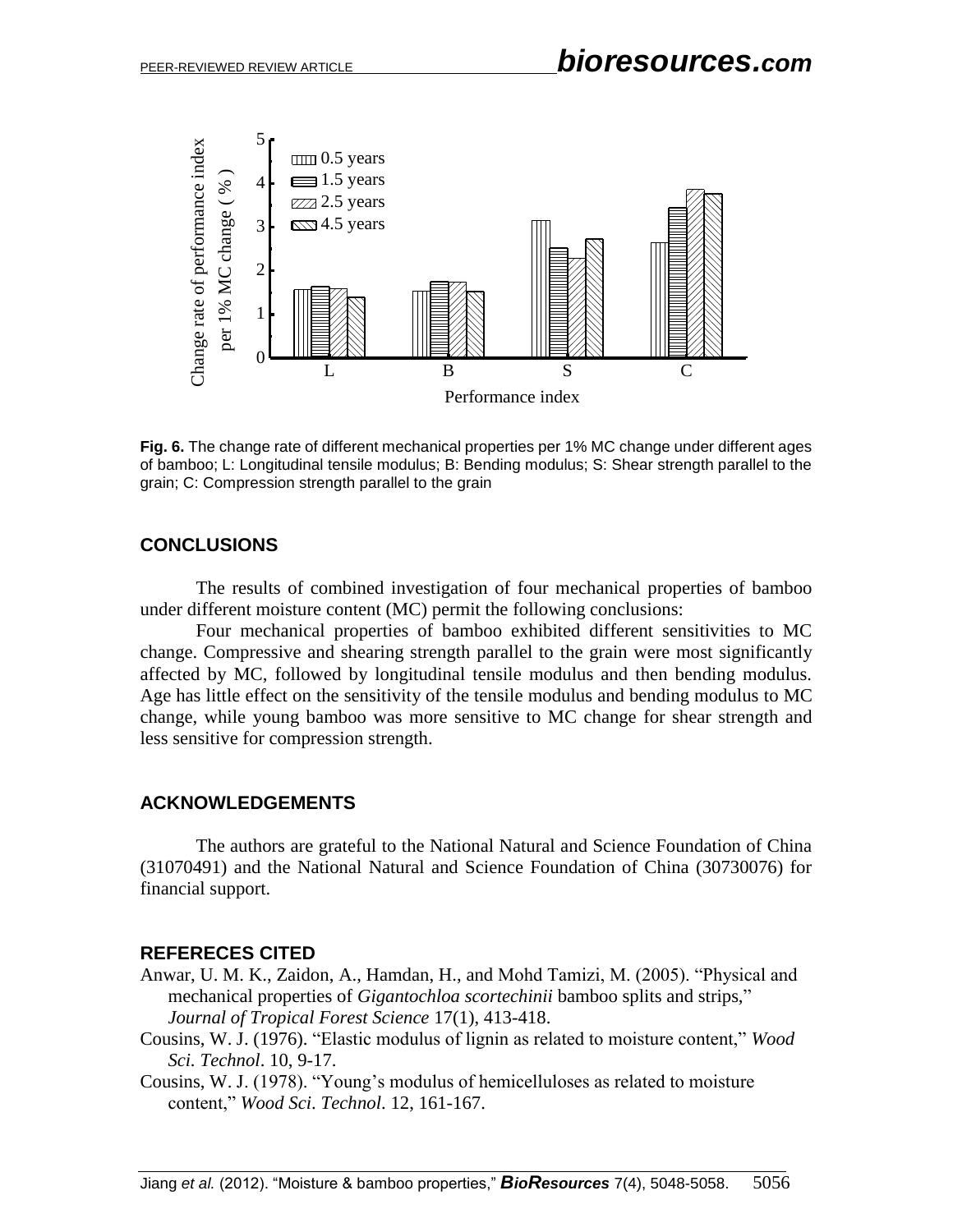

**Fig. 6.** The change rate of different mechanical properties per 1% MC change under different ages of bamboo; L: Longitudinal tensile modulus; B: Bending modulus; S: Shear strength parallel to the grain; C: Compression strength parallel to the grain

## **CONCLUSIONS**

The results of combined investigation of four mechanical properties of bamboo under different moisture content (MC) permit the following conclusions:

Four mechanical properties of bamboo exhibited different sensitivities to MC change. Compressive and shearing strength parallel to the grain were most significantly affected by MC, followed by longitudinal tensile modulus and then bending modulus. Age has little effect on the sensitivity of the tensile modulus and bending modulus to MC change, while young bamboo was more sensitive to MC change for shear strength and less sensitive for compression strength.

#### **ACKNOWLEDGEMENTS**

The authors are grateful to the National Natural and Science Foundation of China (31070491) and the National Natural and Science Foundation of China (30730076) for financial support.

#### **REFERECES CITED**

- Anwar, U. M. K., Zaidon, A., Hamdan, H., and Mohd Tamizi, M. (2005). "Physical and mechanical properties of *Gigantochloa scortechinii* bamboo splits and strips," *Journal of Tropical Forest Science* 17(1), 413-418.
- Cousins, W. J. (1976). "Elastic modulus of lignin as related to moisture content," *Wood Sci. Technol*. 10, 9-17.
- Cousins, W. J. (1978). "Young's modulus of hemicelluloses as related to moisture content," *Wood Sci*. *Technol*. 12, 161-167.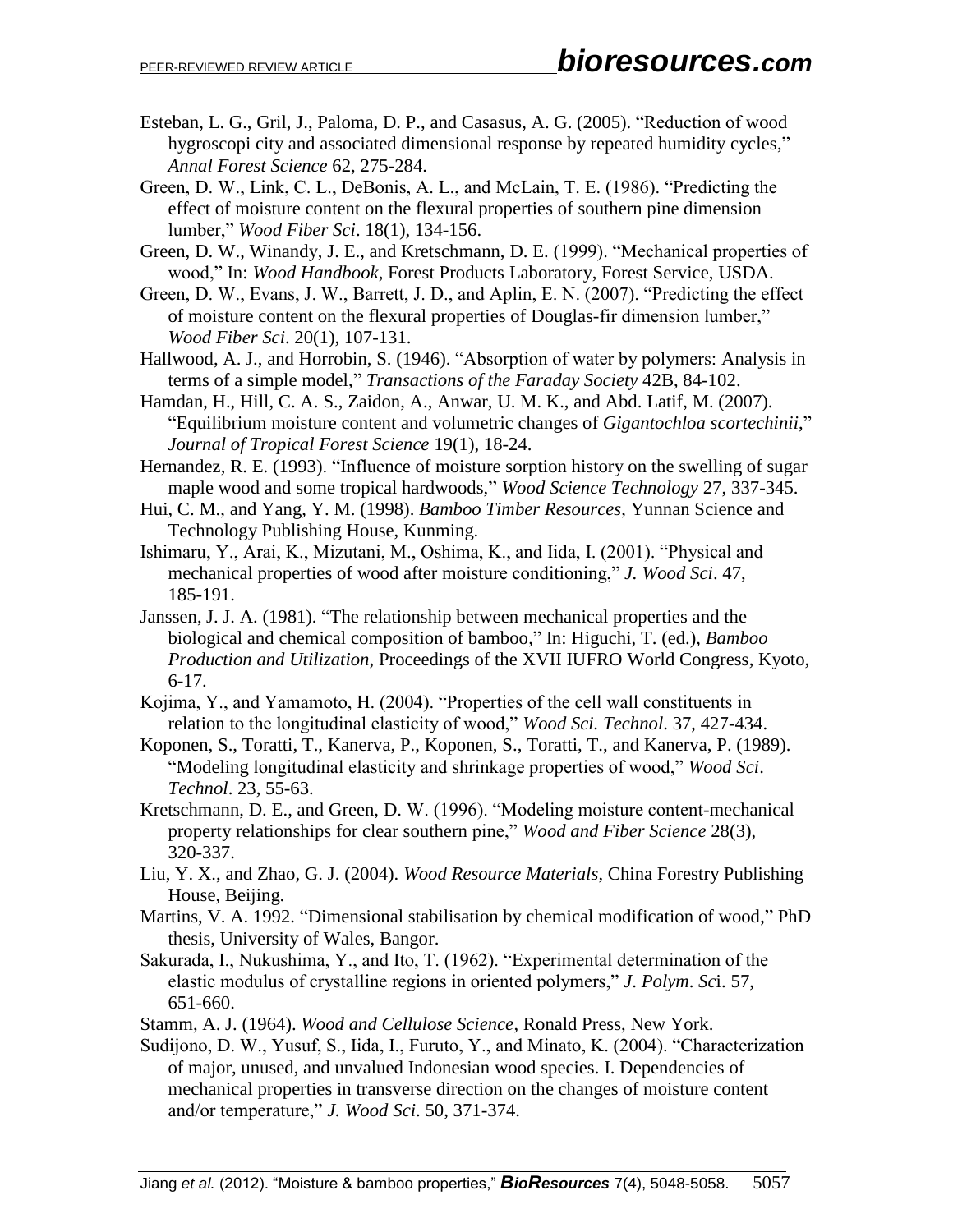- Esteban, L. G., Gril, J., Paloma, D. P., and Casasus, A. G. (2005). "Reduction of wood hygroscopi city and associated dimensional response by repeated humidity cycles," *Annal Forest Science* 62, 275-284.
- Green, D. W., Link, C. L., DeBonis, A. L., and McLain, T. E. (1986). "Predicting the effect of moisture content on the flexural properties of southern pine dimension lumber," *Wood Fiber Sci*. 18(1), 134-156.
- Green, D. W., Winandy, J. E., and Kretschmann, D. E. (1999). "Mechanical properties of wood," In: *Wood Handbook*, Forest Products Laboratory, Forest Service, USDA.
- Green, D. W., Evans, J. W., Barrett, J. D., and Aplin, E. N. (2007). "Predicting the effect of moisture content on the flexural properties of Douglas-fir dimension lumber," *Wood Fiber Sci*. 20(1), 107-131.
- Hallwood, A. J., and Horrobin, S. (1946). "Absorption of water by polymers: Analysis in terms of a simple model," *Transactions of the Faraday Society* 42B, 84-102.
- Hamdan, H., Hill, C. A. S., Zaidon, A., Anwar, U. M. K., and Abd. Latif, M. (2007). "Equilibrium moisture content and volumetric changes of *Gigantochloa scortechinii*," *Journal of Tropical Forest Science* 19(1), 18-24.
- Hernandez, R. E. (1993). "Influence of moisture sorption history on the swelling of sugar maple wood and some tropical hardwoods," *Wood Science Technology* 27, 337-345.
- Hui, C. M., and Yang, Y. M. (1998). *Bamboo Timber Resources*, Yunnan Science and Technology Publishing House, Kunming.
- Ishimaru, Y., Arai, K., Mizutani, M., Oshima, K., and Iida, I. (2001). "Physical and mechanical properties of wood after moisture conditioning," *J. Wood Sci*. 47, 185-191.
- Janssen, J. J. A. (1981). "The relationship between mechanical properties and the biological and chemical composition of bamboo," In: Higuchi, T. (ed.), *Bamboo Production and Utilization*, Proceedings of the XVII IUFRO World Congress, Kyoto, 6-17.
- Kojima, Y., and Yamamoto, H. (2004). "Properties of the cell wall constituents in relation to the longitudinal elasticity of wood," *Wood Sci. Technol*. 37, 427-434.
- Koponen, S., Toratti, T., Kanerva, P., Koponen, S., Toratti, T., and Kanerva, P. (1989). "Modeling longitudinal elasticity and shrinkage properties of wood," *Wood Sci*. *Technol*. 23, 55-63.
- Kretschmann, D. E., and Green, D. W. (1996). "Modeling moisture content-mechanical property relationships for clear southern pine," *Wood and Fiber Science* 28(3), 320-337.
- Liu, Y. X., and Zhao, G. J. (2004). *Wood Resource Materials*, China Forestry Publishing House, Beijing.
- Martins, V. A. 1992. "Dimensional stabilisation by chemical modification of wood," PhD thesis, University of Wales, Bangor.
- Sakurada, I., Nukushima, Y., and Ito, T. (1962). "Experimental determination of the elastic modulus of crystalline regions in oriented polymers," *J*. *Polym*. *Sc*i. 57, 651-660.
- Stamm, A. J. (1964). *Wood and Cellulose Science*, Ronald Press, New York.
- Sudijono, D. W., Yusuf, S., Iida, I., Furuto, Y., and Minato, K. (2004). "Characterization of major, unused, and unvalued Indonesian wood species. I. Dependencies of mechanical properties in transverse direction on the changes of moisture content and/or temperature," *J. Wood Sci*. 50, 371-374.